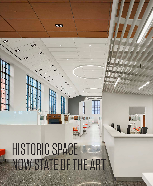# HISTORIC SPACE NOW STATE OF THE ART

**DD** 

 $\mathbf{\Phi}$ 

ග

⋖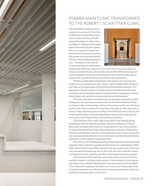

## FORMER MAIN CLINIC TRANSFORMED TO THE ROBERT I. SCHATTNER CLINIC

ON JANUARY 2, 2018, the doors opened on a new era for Penn Dental Medicine's storied Main Clinic when students, faculty, and staff welcomed patients to what is now the Robert I. Schattner Clinic and a state-of-the-art facility throughout. This 11,170-square-foot space has been the hub of clinical instruction and patient care since the School's Thomas Evans Building opened in 1915 — heralded, at that time, for its advanced features and dramatic



architectural elements, today, it can be as well. From the incorporation of computer-assisted design and manufacturing (CAD/CAM) technology and custom-designed operatories to the dramatic wall of windows, the space is designed for optimal educational and patient care experiences.

"Within our Restorative Department, this facility is the stunning centerpiece of our comprehensive care clinics," says Dr. Markus Blatz, Professor and Chair of the Department of Preventive and Restorative Sciences. "It is equipped to educate students and treat patients with the absolutely latest techniques and technologies, geared toward extensive integration of digital technologies, and readied to accommodate future developments."

The clinic renovation, completed over the past year, was made possible in large part through the generosity of the late Dr. Robert Schattner (D'48), an alumnus who contributed \$15 million to this project and the new Schattner Pavilion that will be completed in June (see story, page 4). They culminate a series of major facilities projects for Penn Dental Medicine since 2015 as part of the Evans Building Centennial Renaissance project that transformed all four levels of the School's historic Thomas Evans Building.

"The Schattner Clinic truly is the crown jewel of the Evans Building renaissance," says Dr. Mark Koup (D'04), Associate Professor of Clinical Restorative Dentistry and Director of Comprehensive Care Clinics; he and Dr. Patrice Ierardi (MT'80, D'84), Clinical Assistant Professor of Restorative Dentistry and Assistant Director of Comprehensive Care Clinics, oversee faculty, students, and the delivery of care in this clinic and the Edward & Shirley Shils Clinic, which opened in September 2016.

Renovated by the Philadelphia-based architectural firm of EwingCole, the Schattner Clinic includes 74 operatories (four devoted to radiography), CAD/ CAM and wet laboratories off the west end, a faculty meeting area on the east end, a streamlined dispensing area on the south side, and a centrally located work station for clinic staff that provides a welcoming entryway for patients.

"The Schattner Clinic has been universally well received and will have a positive impact on multiple levels related to the education of our students and patient care," adds Dr. Najeed Saleh, Associate Dean for Clinical Affairs. "The modernized equipment will allow us to continue providing state-of-theart, patient-centered care with lower levels of patient anxiety due to the more soothing, welcoming nature of the clinic."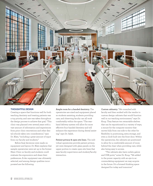

#### **THOUGHTFUL DESIGN**

Creating a space that functions well for both teaching dentistry and treating patients was a top priority, and care was taken throughout the design process to achieve that goal. "This clinic was planned over several years with a vast amount of information and experiences from prior clinic renovations and other dental schools taken into consideration," says Dr. Blatz, "including a great amount of input from our faculty and students."

Before final decisions were made on equipment and layout, Dr. Blatz explains that sample operatories were set up in the former Main Clinic so faculty and students could evaluate the ergonomics and share their preferences. A-dec equipment was ultimately selected, and among design qualities incorporated are the following.

**Ample room for 4-handed dentistry.** The operatories are sized and equipment placed so students assisting, students providing care, and observing faculty can all work comfortably within the space. "The rearhand delivery system will allow for more effective four-handed dentistry and will enhance the experience during dental assisting," says Dr. Saleh.

**Patient privacy & open site lines.** The individual operatories provide patient privacy, yet were designed with glass panels on the upper portion to create open site lines that ease faculty supervision and student/faculty interaction.

**Custom cabinetry.** "We consulted with faculty and then worked with the vendor to custom design cabinets that would function well in our teaching environment," says Dr. Koup. They feature two retractable shelves that can be repositioned in a variety of ways, a mount for the computer monitor that moves fully from one side to the other for flexibility in positioning, extra storage, and even a clock built into the front door. Within the operatories, the cabinets are positioned to allow for a comfortable amount of room behind the chair when providing care, while also being easy to access.

"The cabinets also have outlets galore and USB ports," notes Dr. Koup. "We added to the power capacity with an eye to accommodating equipment we may acquire in the future. It's a forward thinking space designed for today and tomorrow."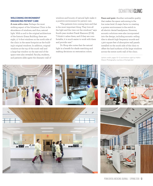## **SCHATTNERCLINIC**

### **WELCOMING ENVIRONMENT ENHANCING PATIENT CARE**

**A room with a view.** Perhaps the most striking aspect of the Schattner Clinic is the abundance of windows, and thus, natural light. With a nod to the original architecture of the historic Evans Building, there are eight, 17 ½-foot windows on the north side of the clinic in the same footprint as the building's original windows. In addition, original windows at the top of the south wall and a large bay window on the east end of the space were also revealed. Faculty, students, and patients alike agree the dramatic wall of

windows and bounty of natural light make it a positive environment for patient care.

"The patients love coming here and that is the most important thing. They love all the light and the view out the windows," says fourth-year student Frank Shannon (D'18). "I think it calms them, and if they are comfortable, it is much easier to work with them and provide care."

Dr. Koup also notes that the natural light is a benefit for shade matching and making decisions on restoration colors.

**Peace and quiet.** Another noticeable quality that makes the space welcoming is the low noise level. A major factor in creating a quieter environment is the switch to all electric dental handpieces. However, acoustic solutions were also incorporated into the design, including acoustic ceiling tiles to absorb high frequency sounds and 1,300 square feet of absorptive wall panels installed on the south side of the clinic to offset the hard surfaces of the large windows across the entire north wall of the clinic.

(photo credit: pages 10–12 and bottom right by Halkin Mason Photography courtesy of EwingCole)

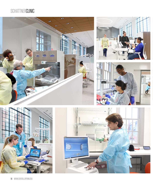## **SCHATTNERCLINIC**